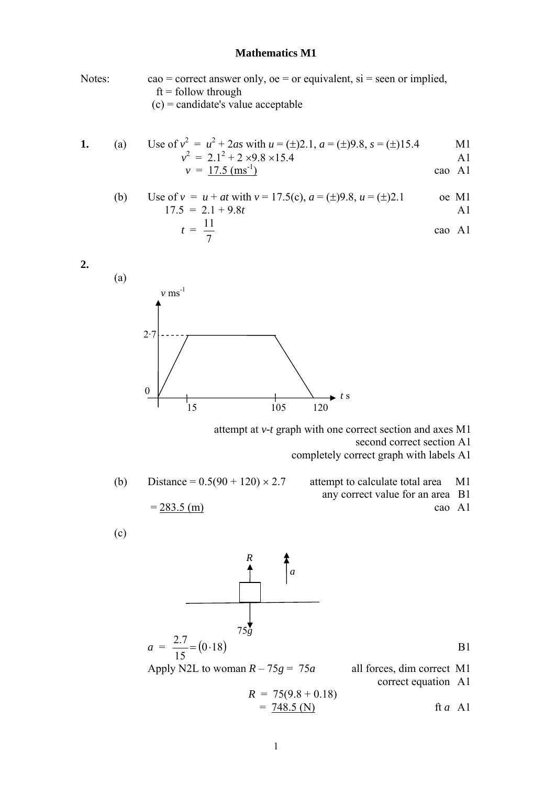## **Mathematics M1**

Notes: cao = correct answer only,  $oe = or$  equivalent,  $si =$  seen or implied,  $ft =$  follow through  $(c)$  = candidate's value acceptable

1. (a) Use of 
$$
v^2 = u^2 + 2as
$$
 with  $u = (\pm)2.1$ ,  $a = (\pm)9.8$ ,  $s = (\pm)15.4$  M1  
\n
$$
v^2 = 2.1^2 + 2 \times 9.8 \times 15.4
$$
 A1

$$
v = \frac{17.5 \, \text{(ms}^{-1})}{2}
$$
 cao A1

(b) Use of 
$$
v = u + at
$$
 with  $v = 17.5(c)$ ,  $a = (\pm)9.8$ ,  $u = (\pm)2.1$  *o*e M1  
17.5 = 2.1 + 9.8t A1

$$
t = \frac{11}{7}
$$
 cao A1

$$
2.7
$$
  
2.7  
15  
105  
120

attempt at *v-t* graph with one correct section and axes M1

second correct section A1

completely correct graph with labels A1

(b) Distance =  $0.5(90 + 120) \times 2.7$  attempt to calculate total area M1

- any correct value for an area B1
- $= 283.5$  (m) cao A1

$$
\left( c\right)
$$

**2.**

(a)

$$
a = \frac{2.7}{15} = (0.18)
$$
  
Apply N2L to woman  $R - 75g = 75a$  all forces, dim correct M1 correct equation A1

$$
R = 75(9.8 + 0.18)
$$
  
=  $\frac{748.5 \text{ (N)}}{}$  ft *a* A1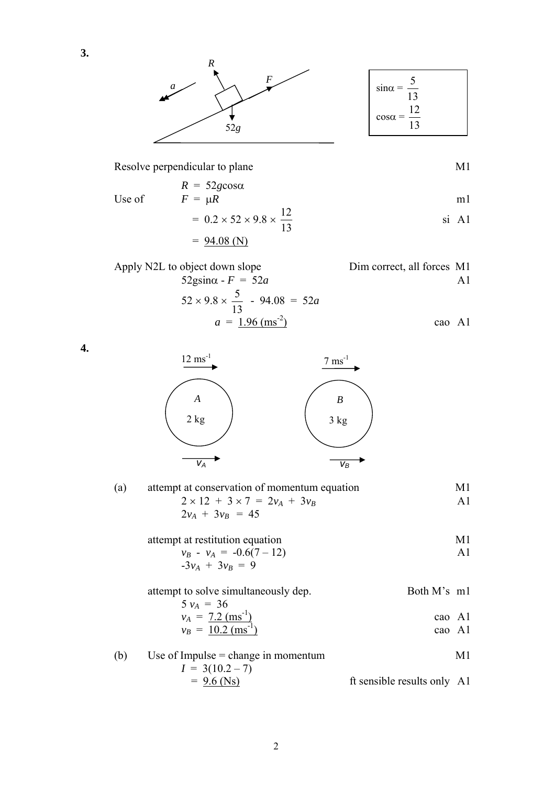

Resolve perpendicular to plane

$$
M1
$$

$$
R = 52g\cos\alpha
$$
  
Use of  $F = \mu R$  m1

$$
= 0.2 \times 52 \times 9.8 \times \frac{12}{13}
$$
si A1  
= 94.08 (N)

| Apply N2L to object down slope                    | Dim correct, all forces M1 |
|---------------------------------------------------|----------------------------|
| $52$ gsin $\alpha$ - $F = 52a$                    | A I                        |
| $52 \times 9.8 \times \frac{5}{12}$ - 94.08 = 52a |                            |
| $a = 1.96$ (ms <sup>-2</sup> )                    | cao Al                     |

**4.**

**3.**



| (a) | attempt at conservation of momentum equation | M1  |
|-----|----------------------------------------------|-----|
|     | $2 \times 12 + 3 \times 7 = 2v_A + 3v_B$     | A 1 |
|     | $2v_A + 3v_B = 45$                           |     |
|     |                                              |     |

| attempt at restitution equation | M1 |
|---------------------------------|----|
| $v_B - v_A = -0.6(7 - 12)$      |    |
| $-3v_A + 3v_B = 9$              |    |

attempt to solve simultaneously dep. Both M's m1  $5 v_A = 36$ 

$$
v_A = \frac{7.2 \text{ (ms}^1)}{10.2 \text{ (m}^{-1})}
$$
 cao A1

$$
v_B = \frac{10.2 \, (\text{ms}^{-1})}{}
$$
 cao A1

(b) Use of Impulse = change in momentum  
\n
$$
I = 3(10.2 - 7)
$$
\n
$$
= 9.6 \text{ (Ns)}
$$
\n
$$
I = 3(10.2 - 7)
$$
\n
$$
= 12.6 \text{ (Ns)}
$$
\n
$$
= 12.6 \text{ (Ns)}
$$
\n
$$
= 12.6 \text{ (Ns)}
$$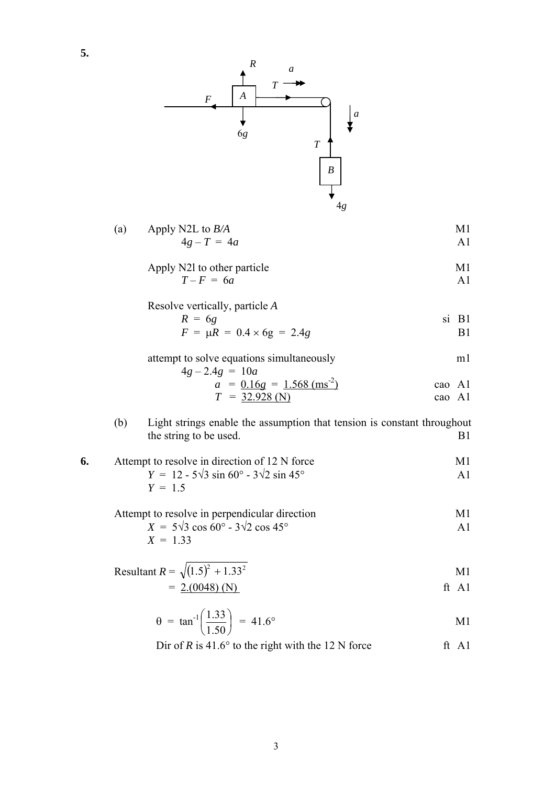

(a) Apply N2L to 
$$
B/A
$$
  
  $4g - T = 4a$    
  $41$ 

Apply N21 to other particle 
$$
T - F = 6a
$$
 A1

Resolve vertically, particle *A* 

**5.**

$$
R = 6g
$$
  
\n
$$
F = \mu R = 0.4 \times 6g = 2.4g
$$

attempt to solve equations simultaneously m1  $4g - 2.4g = 10a$ 

$$
a = \frac{0.16g}{T} = \frac{1.568 \text{ (ms}^{-2})}{32.928 \text{ (N)}} \qquad \text{cao A1} \qquad \text{cao A1}
$$

(b) Light strings enable the assumption that tension is constant throughout the string to be used. B1

6. Attempt to resolve in direction of 12 N force  
\n
$$
Y = 12 - 5\sqrt{3} \sin 60^\circ - 3\sqrt{2} \sin 45^\circ
$$
\n
$$
Y = 1.5
$$
\nA1

Attempt to resolve in perpendicular direction

\n
$$
X = 5\sqrt{3} \cos 60^\circ - 3\sqrt{2} \cos 45^\circ
$$
\n
$$
X = 1.33
$$
\nAll

Resultant 
$$
R = \sqrt{(1.5)^2 + 1.33^2}
$$
  
=  $\frac{2.(0048) (N)}{}$  ft A1

$$
\theta = \tan^{-1} \left( \frac{1.33}{1.50} \right) = 41.6^{\circ}
$$
 M1

Dir of *R* is 41.6° to the right with the 12 N force ft A1